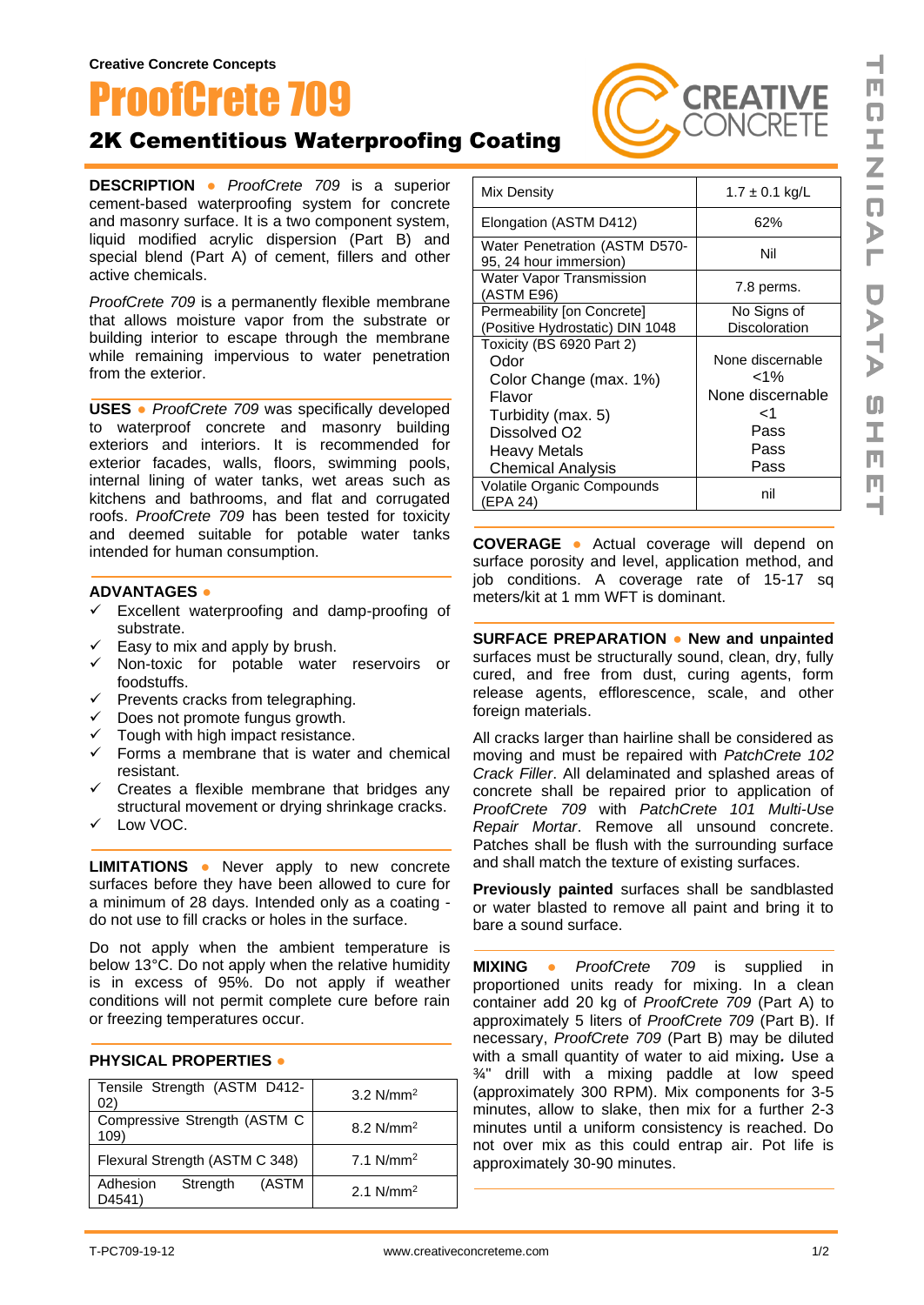## ProofCrete 709

## 2K Cementitious Waterproofing Coating

**DESCRIPTION ●** *ProofCrete 709* is a superior cement-based waterproofing system for concrete and masonry surface. It is a two component system, liquid modified acrylic dispersion (Part B) and special blend (Part A) of cement, fillers and other active chemicals.

*ProofCrete 709* is a permanently flexible membrane that allows moisture vapor from the substrate or building interior to escape through the membrane while remaining impervious to water penetration from the exterior.

**USES ●** *ProofCrete 709* was specifically developed to waterproof concrete and masonry building exteriors and interiors. It is recommended for exterior facades, walls, floors, swimming pools, internal lining of water tanks, wet areas such as kitchens and bathrooms, and flat and corrugated roofs. *ProofCrete 709* has been tested for toxicity and deemed suitable for potable water tanks intended for human consumption.

## **ADVANTAGES ●**

- ✓ Excellent waterproofing and damp-proofing of substrate.
- $\checkmark$  Easy to mix and apply by brush.
- ✓ Non-toxic for potable water reservoirs or foodstuffs.
- $\checkmark$  Prevents cracks from telegraphing.
- $\checkmark$  Does not promote fungus growth.
- $\checkmark$  Tough with high impact resistance.
- $\checkmark$  Forms a membrane that is water and chemical resistant.
- $\checkmark$  Creates a flexible membrane that bridges any structural movement or drying shrinkage cracks.
- ✓ Low VOC.

**LIMITATIONS ●** Never apply to new concrete surfaces before they have been allowed to cure for a minimum of 28 days. Intended only as a coating do not use to fill cracks or holes in the surface.

Do not apply when the ambient temperature is below 13°C. Do not apply when the relative humidity is in excess of 95%. Do not apply if weather conditions will not permit complete cure before rain or freezing temperatures occur.

| Tensile Strength (ASTM D412-<br>02)     | 3.2 $N/mm^2$            |
|-----------------------------------------|-------------------------|
| Compressive Strength (ASTM C<br>109)    | $8.2$ N/mm <sup>2</sup> |
| Flexural Strength (ASTM C 348)          | 7.1 $N/mm^2$            |
| Adhesion<br>(ASTM<br>Strength<br>D4541) | 2.1 $N/mm^2$            |

| Mix Density                                             | $1.7 \pm 0.1$ kg/L |
|---------------------------------------------------------|--------------------|
| Elongation (ASTM D412)                                  | 62%                |
| Water Penetration (ASTM D570-<br>95, 24 hour immersion) | Nil                |
| <b>Water Vapor Transmission</b><br>(ASTM E96)           | 7.8 perms.         |
| Permeability [on Concrete]                              | No Signs of        |
| (Positive Hydrostatic) DIN 1048                         | Discoloration      |
| Toxicity (BS 6920 Part 2)                               |                    |
| Odor                                                    | None discernable   |
| Color Change (max. 1%)                                  | ${<}1\%$           |
| Flavor                                                  | None discernable   |
| Turbidity (max. 5)                                      | ہ ۔                |
| Dissolved O <sub>2</sub>                                | Pass               |
| <b>Heavy Metals</b>                                     | Pass               |
| <b>Chemical Analysis</b>                                | Pass               |
| <b>Volatile Organic Compounds</b><br>(EPA 24)           | nil                |

**COVERAGE ●** Actual coverage will depend on surface porosity and level, application method, and job conditions. A coverage rate of 15-17 sq meters/kit at 1 mm WFT is dominant.

**SURFACE PREPARATION ● New and unpainted**  surfaces must be structurally sound, clean, dry, fully cured, and free from dust, curing agents, form release agents, efflorescence, scale, and other foreign materials.

All cracks larger than hairline shall be considered as moving and must be repaired with *PatchCrete 102 Crack Filler*. All delaminated and splashed areas of concrete shall be repaired prior to application of *ProofCrete 709* with *PatchCrete 101 Multi-Use Repair Mortar*. Remove all unsound concrete. Patches shall be flush with the surrounding surface and shall match the texture of existing surfaces.

**Previously painted** surfaces shall be sandblasted or water blasted to remove all paint and bring it to bare a sound surface.

**MIXING ●** *ProofCrete 709* is supplied in proportioned units ready for mixing. In a clean container add 20 kg of *ProofCrete 709* (Part A) to approximately 5 liters of *ProofCrete 709* (Part B). If necessary, *ProofCrete 709* (Part B) may be diluted with a small quantity of water to aid mixing*.* Use a ¾" drill with a mixing paddle at low speed (approximately 300 RPM). Mix components for 3-5 minutes, allow to slake, then mix for a further 2-3 minutes until a uniform consistency is reached. Do not over mix as this could entrap air. Pot life is approximately 30-90 minutes.